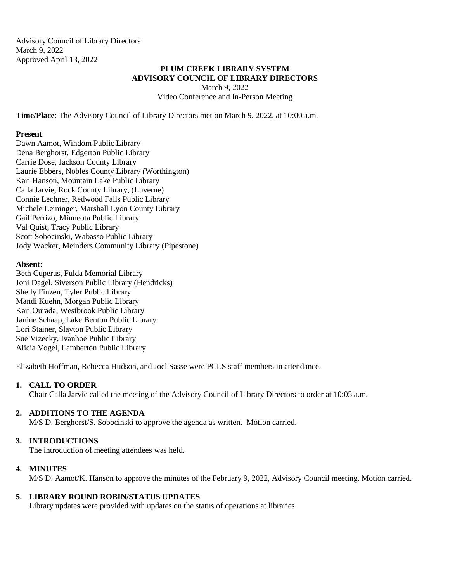Advisory Council of Library Directors March 9, 2022 Approved April 13, 2022

### **PLUM CREEK LIBRARY SYSTEM ADVISORY COUNCIL OF LIBRARY DIRECTORS**

March 9, 2022 Video Conference and In-Person Meeting

**Time/Place**: The Advisory Council of Library Directors met on March 9, 2022, at 10:00 a.m.

#### **Present**:

Dawn Aamot, Windom Public Library Dena Berghorst, Edgerton Public Library Carrie Dose, Jackson County Library Laurie Ebbers, Nobles County Library (Worthington) Kari Hanson, Mountain Lake Public Library Calla Jarvie, Rock County Library, (Luverne) Connie Lechner, Redwood Falls Public Library Michele Leininger, Marshall Lyon County Library Gail Perrizo, Minneota Public Library Val Quist, Tracy Public Library Scott Sobocinski, Wabasso Public Library Jody Wacker, Meinders Community Library (Pipestone)

### **Absent**:

Beth Cuperus, Fulda Memorial Library Joni Dagel, Siverson Public Library (Hendricks) Shelly Finzen, Tyler Public Library Mandi Kuehn, Morgan Public Library Kari Ourada, Westbrook Public Library Janine Schaap, Lake Benton Public Library Lori Stainer, Slayton Public Library Sue Vizecky, Ivanhoe Public Library Alicia Vogel, Lamberton Public Library

Elizabeth Hoffman, Rebecca Hudson, and Joel Sasse were PCLS staff members in attendance.

# **1. CALL TO ORDER**

Chair Calla Jarvie called the meeting of the Advisory Council of Library Directors to order at 10:05 a.m.

# **2. ADDITIONS TO THE AGENDA**

M/S D. Berghorst/S. Sobocinski to approve the agenda as written. Motion carried.

# **3. INTRODUCTIONS**

The introduction of meeting attendees was held.

# **4. MINUTES**

M/S D. Aamot/K. Hanson to approve the minutes of the February 9, 2022, Advisory Council meeting. Motion carried.

# **5. LIBRARY ROUND ROBIN/STATUS UPDATES**

Library updates were provided with updates on the status of operations at libraries.